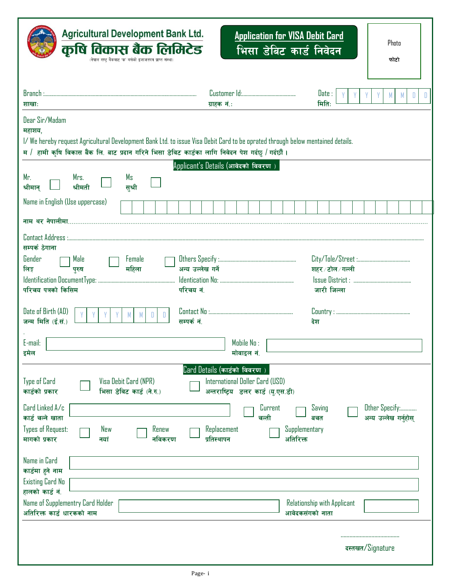| <b>Agricultural Development Bank Ltd.</b><br>कृषि विकास बैंक लिमिटेड<br>(नेपाल राष्ट्र बैंकबाट 'क' वर्गको इजाजतपत्र प्राप्त संस्था)                                                                                                                                                                                                                   |                                                                              |                                                                                           | <b>Application for VISA Debit Card</b><br>भिसा डेबिट कार्ड निवेदन |                                              | Photo<br>फोटो                           |
|-------------------------------------------------------------------------------------------------------------------------------------------------------------------------------------------------------------------------------------------------------------------------------------------------------------------------------------------------------|------------------------------------------------------------------------------|-------------------------------------------------------------------------------------------|-------------------------------------------------------------------|----------------------------------------------|-----------------------------------------|
| शाखाः                                                                                                                                                                                                                                                                                                                                                 | ग्राहक नं.:                                                                  |                                                                                           |                                                                   | Date:<br>मितिः                               | M<br>D<br>Ð                             |
| Dear Sir/Madam<br>महाशय,<br>I/We hereby request Agricultural Development Bank Ltd. to issue Visa Debit Card to be oprated through below mentained details.<br>म / हामी कृषि विकास बैंक लि. बाट प्रदान गरिने भिसा डेविट कार्डका लागि निवेदन पेश गर्दछु / गर्दछौं।                                                                                      |                                                                              |                                                                                           |                                                                   |                                              |                                         |
| Mr.<br>Mrs.<br>Ms<br>श्रीमती<br>सश्री<br>श्रीमान्                                                                                                                                                                                                                                                                                                     | Applicant's Details (आवेदको विवरण)                                           |                                                                                           |                                                                   |                                              |                                         |
| Name in English (Use uppercase)                                                                                                                                                                                                                                                                                                                       |                                                                              |                                                                                           |                                                                   |                                              |                                         |
|                                                                                                                                                                                                                                                                                                                                                       |                                                                              |                                                                                           |                                                                   |                                              |                                         |
| सम्पर्क ठेगाना<br>Gender<br>Male<br>Female<br>महिला<br>लिङ्ग<br>पुरुष<br>परिचय पत्रको किसिम<br>Date of Birth (AD)<br>H.<br>जन्म मिति (ई.सं.)<br>E-mail:<br>इमेल                                                                                                                                                                                       | अन्य उल्लेख गर्ने<br>परिचय नं.<br>सम्पर्कतं.<br>Card Details (कार्डको विवरण) | Mobile No :<br>मोवाइल नं.                                                                 |                                                                   | शहर ∕ टोल ∕ गल्ली<br>जारी जिल्ला<br>देश      |                                         |
| Visa Debit Card (NPR)<br>Type of Card<br>कार्डको प्रकार<br>भिसा डेविट कार्ड (ने.रु.)<br>Card Linked A/c<br>कार्ड चल्ने खाता<br><b>Types of Request:</b><br>Renew<br>New<br>मागको प्रकार<br>नविकरण<br>नयां<br>Name in Card<br>कार्डमा हुने नाम<br>Existing Card No<br>हालको कार्ड नं.<br>Name of Supplementry Card Holder<br>अतिरिक्त कार्ड धारकको नाम | Replacement<br>प्रतिस्थापन                                                   | International Doller Card (USD)<br>अन्तराष्ट्रिय डलर कार्ड (यु.एस.डी)<br>Current<br>चल्ती | Supplementary<br>अतिरिक्त<br>आवेदकसंगको नाता                      | Saving<br>बचत<br>Relationship with Applicant | Other Specify:<br>अन्य उल्लेख गर्नुहोस् |
|                                                                                                                                                                                                                                                                                                                                                       |                                                                              |                                                                                           |                                                                   |                                              | दस्तखत/Signature                        |